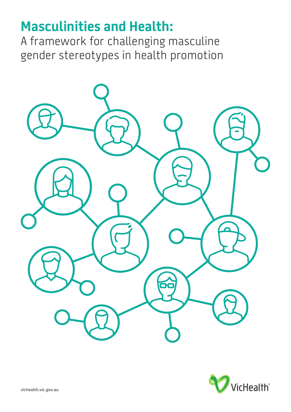# **Masculinities and Health:**

A framework for challenging masculine gender stereotypes in health promotion



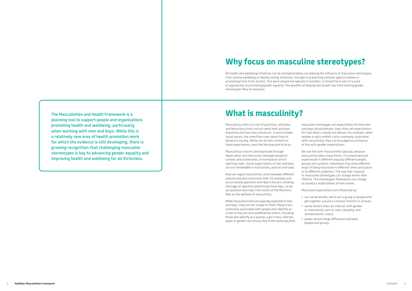**The Masculinities and Health Framework is a planning tool to support people and organisations promoting health and wellbeing, particularly when working with men and boys. While this is a relatively new area of health promotion work for which the evidence is still developing, there is growing recognition that challenging masculine stereotypes is key to advancing gender equality and improving health and wellbeing for all Victorians.**

# **Why focus on masculine stereotypes?**

All health and wellbeing initiatives can be strengthened by considering the influence of masculine stereotypes, from mental wellbeing or healthy eating initiatives, through to preventing violence against women or preventing harm from alcohol. This work should not operate in isolation, it should form part of a suite of approaches to promoting gender equality. The benefits of helping men break free from limiting gender stereotypes flow to everyone.

# **What is masculinity?**

Masculinity refers to a set of practices, attitudes and behaviours that instruct what men and boys should be and how they should act. It also includes social norms, the unwritten rules about how to behave in society. While not all men conform to these expectations, most feel the pressure to do so.

Masculinity is learnt and expressed through observation and interaction between people in schools and universities, at workplaces and in sporting clubs. Social expectations of men and boys are also embedded in institutions, policies and laws.

How we regard masculinity varies between different cultures and also varies over time. For example, just as our society questions and rejects the pro-smoking message of cigarette advertising these days, so do we question and reject the notion of the Marlboro Man as the epitome of masculinity.

While masculine traits are typically expected of men and boys, they are not unique to them. Many traits commonly associated with people who identify as a man or boy are also exhibited by others, including those who identify as a woman, a girl, trans, intersex, queer or gender non-binary. And in the same way that

masculine stereotypes set expectations for how men and boys should behave, they often set expectations for how others should not behave. For example, when women or girls exhibit traits commonly associated with masculinity, they can be judged as acting out of line with gender expectations.

We use the term masculinities (plural), because masculinity takes many forms. It is expressed and experienced in different ways by different people, groups and systems. Individuals may show different ways of being masculine in different times and places or to different audiences. The way men respond to masculine stereotypes can change within their lifetime. The stereotypes themselves can change as society's expectations of men evolve.

Masculine expectations are influenced by:

- our social worlds, which are a group of people who get together around a common interest or activity
- social factors that can interact with gender or masculinity such as race, sexuality, and socioeconomic status
- 

• power and privilege differences between people and groups.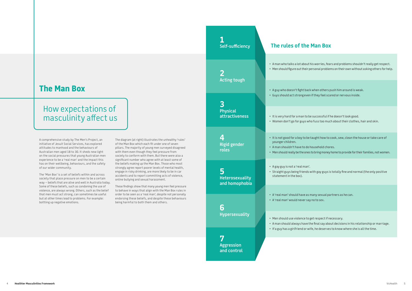# How expectations of masculinity affect us

# **The Man Box**

# **The rules of the Man Box**

A comprehensive study by The Men's Project, an initiative of Jesuit Social Services, has explored attitudes to manhood and the behaviours of Australian men aged 18 to 30. It sheds new light on the social pressures that young Australian men experience to be a 'real man' and the impact this has on their wellbeing, behaviours, and the safety of our wider community.

The 'Man Box' is a set of beliefs within and across society that place pressure on men to be a certain way – beliefs that are alive and well in Australia today. Some of these beliefs, such as condoning the use of violence, are always wrong. Others, such as the belief that men must act strong, can sometimes be useful but at other times lead to problems. For example: bottling up negative emotions.

The diagram (at right) illustrates the unhealthy 'rules' of the Man Box which each fit under one of seven pillars. The majority of young men surveyed disagreed with them even though they feel pressure from society to conform with them. But there were also a significant number who agree with at least some of the beliefs making up the Man Box. Those who most strongly agree report poorer levels of mental health, engage in risky drinking, are more likely to be in car accidents and to report committing acts of violence, online bullying and sexual harassment.

These findings show that many young men feel pressure to behave in ways that align with the Man Box rules in order to be seen as a 'real man', despite not personally endorsing these beliefs, and despite these behaviours being harmful to both them and others.

**1**

**2**

# **Self-sufficiency Acting tough Physical attractiveness**

**3**

**4**

**Rigid gender** 

**roles**

**5**

**Heterosexuality and homophobia**

**6**

**Hypersexuality**

**7**

**Aggression and control** • A man who talks a lot about his worries, fears and problems shouldn't really get respect. • Men should figure out their personal problems on their own without asking others for help.

• A guy who doesn't fight back when others push him around is weak. • Guys should act strong even if they feel scared or nervous inside.

• It is very hard for a man to be successful if he doesn't look good. • Women don't go for guys who fuss too much about their clothes, hair and skin.

• It is not good for a boy to be taught how to cook, sew, clean the house or take care of

• Men should really be the ones to bring money home to provide for their families, not women.

- younger children.
- A man shouldn't have to do household chores.
- 
- A gay guy is not a 'real man'.
- statement in the box).
- 
- A 'real man' would never say no to sex.
- -
	-

• Straight guys being friends with gay guys is totally fine and normal (the only positive

• A 'real man' should have as many sexual partners as he can.

• Men should use violence to get respect if necessary.

• A man should always have the final say about decisions in his relationship or marriage. • If a guy has a girlfriend or wife, he deserves to know where she is all the time.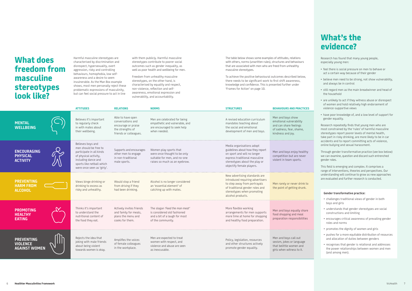|                                                              | <b>ATTITUDES</b>                                                                                                                                                                  | <b>RELATIONS</b>                                                                                            | <b>NORMS</b>                                                                                                            | <b>STRUCTURES</b>                                                                                                                                                                           | <b>BEHAVIOURS AND PRACTICES</b>                                                                                         |
|--------------------------------------------------------------|-----------------------------------------------------------------------------------------------------------------------------------------------------------------------------------|-------------------------------------------------------------------------------------------------------------|-------------------------------------------------------------------------------------------------------------------------|---------------------------------------------------------------------------------------------------------------------------------------------------------------------------------------------|-------------------------------------------------------------------------------------------------------------------------|
| <b>MENTAL</b><br><b>WELLBEING</b>                            | Believes it's important<br>to regularly check<br>in with mates about<br>their wellbeing.                                                                                          | Able to have open<br>conversations and<br>encourage or praise<br>the strengths of<br>friends or colleagues. | Men are celebrated for being<br>empathetic and vulnerable, and<br>are encouraged to seek help<br>when needed.           | A revised education curriculum<br>mandates teaching about<br>the social and emotional<br>development of men and boys.                                                                       | Men and boys show<br>emotional vulnerability<br>and can share feelings<br>of sadness, fear, shame,<br>kindness and joy. |
| <b>ENCOURAGING</b><br><b>PHYSICAL</b><br><b>ACTIVITY</b>     | Believes boys and<br>men should be free to<br>participate in all kinds<br>of physical activity,<br>including dance and<br>sports like netball which<br>were once seen as 'girly'. | Supports and encourages<br>other men to engage<br>in non-traditional<br>male sports.                        | Women play sports that<br>were once thought to be only<br>suitable for men, and no-one<br>raises so much as an eyebrow. | Media organisations adopt<br>guidelines about how they report<br>on sport and will no longer<br>express traditional masculine<br>stereotypes about the play or<br>objectify female players. | Men and boys enjoy healthy<br>competition but are never<br>violent in team sports.                                      |
| <b>PREVENTING</b><br><b>HARM FROM</b><br><b>ALCOHOL</b>      | Views binge drinking or<br>drinking to excess as<br>risky and unhealthy.                                                                                                          | Would stop a friend<br>from driving if they<br>had been drinking.                                           | Alcohol is no longer considered<br>an 'essential element' of<br>catching up with mates.                                 | New advertising standards are<br>introduced requiring advertisers<br>to step away from portrayals<br>of traditional gender roles and<br>stereotypes when promoting<br>alcohol products.     | Men rarely or never drink to<br>the point of getting drunk.                                                             |
| <b>PROMOTING</b><br><b>HEALTHY</b><br><b>EATING</b>          | Thinks it's important<br>to understand the<br>nutritional content of<br>the food they eat.                                                                                        | Actively invites friends<br>and family for meals,<br>plans the menu and<br>cooks for them.                  | The slogan 'Feed the man meat'<br>is considered old fashioned<br>and a bit of a laugh for most<br>of the community.     | More flexible working<br>arrangements for men supports<br>more time at home for shopping<br>and healthy food preparation.                                                                   | Men and boys equally share<br>food shopping and meal<br>preparation responsibilities                                    |
| <b>PREVENTING</b><br><b>VIOLENCE</b><br><b>AGAINST WOMEN</b> | Rejects the idea that<br>joking with male friends<br>about being violent<br>towards women is okay.                                                                                | Amplifies the voices<br>of female colleagues<br>in the workplace.                                           | Men are expected to treat<br>women with respect, and<br>violence and abuse are seen<br>as inexcusable.                  | Policy, legislation, resources<br>and other structures actively<br>promote gender equality.                                                                                                 | Men and boys call out<br>sexism, jokes or language<br>that belittle women and<br>girls when witness to it.              |

# **Gender transformative practice:**

- challenges traditional views of gender in both boys and girls
- understands that gender stereotypes are social constructions and limiting
- encourages critical awareness of prevailing gender roles and norms
- promotes the dignity of women and girls
- pushes for a more equitable distribution of resources and allocation of duties between genders
- recognises that gender is relational and addresses the power relationships between women and men (and among men).

# **What's the evidence?**

Research has found that many young people, especially young men:

- feel there is social pressure on men to behave or act a certain way because of their gender
- believe men need to be strong, not show vulnerability, and always be in control
- still regard men as the main breadwinner and head of the household
- are unlikely to act if they witness abuse or disrespect of women and hold relatively high endorsement of violence-supportive views
- have poor knowledge of, and a low level of support for gender equality.

Research repeatedly finds that young men who are most constrained by the 'rules' of harmful masculine stereotypes report poorer levels of mental health, take part in risky drinking, are more likely to be in car accidents and to report committing acts of violence, online bullying and sexual harassment.

Through gender transformative practice (see box below) we can examine, question and discard such entrenched gender roles.

This field is emerging and complex. It comprises a range of interventions, theories and perspectives. Our understanding will continue to grow as new approaches are evaluated and further research is conducted.

Harmful masculine stereotypes are characterised by discrimination and disrespect, hypersexuality, overt aggression, risky and controlling behaviours, homophobia, low selfawareness and a desire to seem invulnerable. As the Man Box example shows, most men personally reject these problematic expressions of masculinity, but can feel social pressure to act in line

with them publicly. Harmful masculine stereotypes contribute to poorer social outcomes such as gender inequality, as well as poor health and wellbeing for men.

Freedom from unhealthy masculine stereotypes, on the other hand, is characterised by equality and respect, non-violence, reflection and selfawareness, emotional expression and vulnerability, and accountability.

# **What does freedom from masculine stereotypes look like?**

The table below shows some examples of attitudes, relations with others, norms (unwritten rules), structures and behaviours that are associated with men who are freed from unhealthy masculine stereotypes.

To achieve the positive behavioural outcomes described below, there needs to be significant work to first shift awareness, knowledge and confidence. This is presented further under 'Frames for Action' on page 10.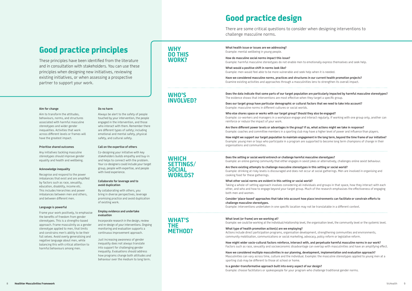# **Good practice design**

There are some critical questions to consider when designing interventions to challenge masculine norms.

## **Aim for change**

Aim to transform the attitudes, behaviours, norms, and structures associated with harmful masculine stereotypes and wider gender inequalities. Activities that work across different levels or frames will have the greatest impact.

## **Prioritise shared outcomes**

Any initiatives tackling masculine stereotypes should improve gender equality and health and wellbeing.

## **Acknowledge inequality**

Recognise and respond to the power imbalances that exist and are amplified by factors such as race, sexuality, education, disability, income etc. This includes hierarchies and power imbalances between men and others, and between different men.

### **Language is powerful**

Frame your work positively, to emphasise the benefits of freedom from gender stereotypes. This is a strengths-based approach. Frame masculinity as a gender stereotype applied to men, that limits and constrains men's ability to be their full selves. Avoid overly generalising and negative language about men, while balancing this with critical attention to harmful behaviours among men.

### **Do no harm**

Always be alert to the safety of people touched by your intervention, the people engaged in the intervention, and those who interact with them. Remember there are different types of safety; including emotional and mental safety, physical safety, and cultural safety.

## **Call on the expertise of others**

Co-designing your initiative with key stakeholders builds empathy and buy-in and helps to connect with the problem. Your co-designers could include your target group, people with expertise, and people with lived experience.

## **Collaborate for leverage and to avoid duplication**

By collaborating with others, you bring in diverse perspectives, leverage promising practice and avoid duplication of existing work.

### **Employ evidence and undertake evaluation**

Incorporate research in the design, review and re-design of your interventions. Ongoing monitoring and evaluation supports a continuous improvement approach.

Just increasing *awareness* of gender inequality does not always translate into support for challenging gender inequality. Evaluations should address how programs change both attitudes *and* behaviour over the medium to long term.

# **Good practice principles**

These principles have been identified from the literature and in consultation with stakeholders. You can use these principles when designing new initiatives, reviewing existing initiatives, or when assessing a prospective partner to support your work.

# **WHY DO THIS WORK?**

**What health issue or issues are we addressing?** Example: mental wellbeing in young people.

**How do masculine social norms impact this issue?** Example: harmful masculine stereotypes do not enable men to emotionally express themselves and seek help.

**What would a positive shift in norms look like?** Example: men would feel able to be more vulnerable and seek help when it is needed.

**Have we considered masculine norms, practices and structures in our current health promotion projects?** Examine existing activities and approaches through a masculinities lens to strengthen its overall impact.

**WHO'S** 

**INVOLVED?**

## **Does the data indicate that some parts of our target population are particularly impacted by harmful masculine stereotypes?** The evidence shows that interventions are most effective when they target a specific group.

**Does our target group have particular demographic or cultural factors that we need to take into account?** Example: masculine norms in different cultures or social worlds.

**Who else shares space or works with our target group? Should they also be engaged?** Example: co-workers and managers in a workplace engage and interact regularly. If working with one group only, another can reinforce or reduce the impact of your work.

**Are there different power levels or advantages in the group? If so, what actions might we take in response?** Example: coaches and committee members in a sporting club may have a higher level of power and influence than players.

**How might we support our target population to maintain engagement in the long term, beyond the time frame of our initiative?** Example: young men or boys who participate in a program are supported to become long term champions of change in their organisations and communities.

**WHICH** 

**SETTINGS/**

**SOCIAL WORLDS?** **Does the setting or social world entrench or challenge harmful masculine stereotypes?** Example: an online gaming community that either engages in sexist jokes or alternatively, challenges online sexist behaviour.

**Are there existing attempts to challenge masculine stereotypes in this setting or social world?** Example: drinking at risky levels is discouraged and does not occur at social gatherings. Men are involved in organising and cooking food for these gatherings.

**What other social norms are evident in this setting or social world?** Taking a whole-of-setting approach involves considering all individuals and groups in that space, how they interact with each other, and who and how to engage beyond your target group. Much of the research emphasises the effectiveness of engaging both men and women.

**Consider 'place-based' approaches that take into account how place/environments can facilitate or constrain efforts to challenge masculine stereotypes.** 

Example: interventions undertaken in one specific location may not be translatable in a different context.

# **WHAT'S THE METHOD?**

**What level (or frame) are we working at?**

Example: we could be working at the individual/relationship level, the organisation level, the community level or the systemic level.

# **What type of health promotion action(s) are we employing?**

Actions include direct participation programs, organisation development, strengthening communities and environments, community mobilisation, communications or social marketing, advocacy, policy reform or legislative reform.

**How might wider socio-cultural factors reinforce, intersect with, and perpetuate harmful masculine norms in our work?** Factors such as race, sexuality and socioeconomic disadvantage can overlap with masculinities and have an amplifying effect.

**Have we considered multiple masculinities in our planning, development, implementation and evaluation approach?** Masculinities can vary across time, culture and the individual. Example: the masculine stereotypes applied to young men at a sporting club may be different to those at school or home.

**Is a gender-transformative approach built into every aspect of our design?** Example: choose facilitators or spokespeople for your program who challenge traditional gender norms.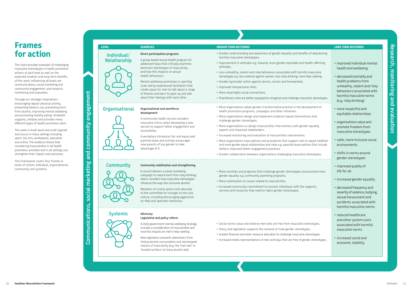# **Individual/ Relationship**

- Greater understanding and awareness of gender equality and benefits o harmful masculine stereotypes.
- Improvement in attitudes e.g. towards more gender-equitable and healthattitudes.
- Less unhealthy, violent and risky behaviours associated with harmful m stereotypes e.g. less violence against women, less risky drinking, more help-
- Greater bystander action against sexism, racism and homophobia.
- Improved interpersonal skills.
- More meaningful social connections.
- Practitioners who are better equipped to recognise and challenge masculin
- More organisations adopt gender-transformative practice in the development of health promotion programs, campaigns and other initiatives.
- More organisations design and implement evidence-based interventions challenge gender stereotypes.
- More organisations co-design masculinities interventions with gender e experts and impacted stakeholders.
- Increased monitoring and evaluation of masculinities interventions.
- More organisations have policies and procedures that support men to a and more gender equal relationships and roles e.g. parental leave policies fathers, improved father-engagement practices.
- Greater collaboration between organisations challenging masculine ster
- More activities and programs that challenge gender stereotypes and promote more gender equality e.g. community parenting programs.
- More mobilisation on issues related to masculinities.
- Increased community commitment to connect individuals with the supports, services and resources they need to reject gender stereotypes.

# • Social norms value and endorse men who are free from masculine stere

# **Organisational Organisational and workforce**

- Policy and legislation supports the removal of male gender stereotypes.
- Greater financial and other resource allocation to challenge masculine ster
- Increased media representations of men and boys that are free of gender

| <b>LEVEL</b>                | <b>EXAMPLES</b>                                                                                                                                                                                                                                                                                                                                                                                                                                | <b>MEDIUM TERM OUTCOMES</b>                                                                                                                                                                                                                                                                                                                                                                                                                                                                                                                                                                                                                                                                                                                                                                | <b>LONG TERM OUTCOMES</b>                                                                                                                                                                                                                   |
|-----------------------------|------------------------------------------------------------------------------------------------------------------------------------------------------------------------------------------------------------------------------------------------------------------------------------------------------------------------------------------------------------------------------------------------------------------------------------------------|--------------------------------------------------------------------------------------------------------------------------------------------------------------------------------------------------------------------------------------------------------------------------------------------------------------------------------------------------------------------------------------------------------------------------------------------------------------------------------------------------------------------------------------------------------------------------------------------------------------------------------------------------------------------------------------------------------------------------------------------------------------------------------------------|---------------------------------------------------------------------------------------------------------------------------------------------------------------------------------------------------------------------------------------------|
| Individual/<br>Relationship | Direct participation programs<br>A group-based sexual health program for<br>adolescent boys that critically examines<br>dominant stereotypes of masculinity,<br>and how this impacts on sexual<br>health behaviours.<br>Mental wellbeing workshops in sporting<br>clubs led by experienced facilitators that<br>create space for men to talk about a range<br>of themes and learn to open up and talk<br>about their feelings with each other. | • Greater understanding and awareness of gender equality and benefits of abandoning<br>harmful masculine stereotypes.<br>• Improvement in attitudes e.g. towards more gender-equitable and health-affirming<br>attitudes.<br>• Less unhealthy, violent and risky behaviours associated with harmful masculine<br>stereotypes e.g. less violence against women, less risky drinking, more help-seeking.<br>• Greater bystander action against sexism, racism and homophobia.<br>• Improved interpersonal skills.<br>• More meaningful social connections.<br>• Practitioners who are better equipped to recognise and challenge masculine stereotypes.                                                                                                                                      | · improved individual mental<br>health and wellbeing<br>• decreased mortality and<br>health problems from<br>unhealthy, violent and risky<br>behaviours associated with<br>harmful masculine norms<br>(e.g. risky drinking)                 |
| <b>Organisational</b>       | Organisational and workforce<br>development<br>A community health service considers<br>masculine norms when developing a new<br>service to support father engagement and<br>accessibility.<br>A workplace introduces fair and equal paid<br>parental leave and actively encourages<br>new parents of any gender to take<br>advantage of it.                                                                                                    | • More organisations adopt gender-transformative practice in the development of<br>health promotion programs, campaigns and other initiatives.<br>• More organisations design and implement evidence-based interventions that<br>challenge gender stereotypes.<br>• More organisations co-design masculinities interventions with gender equality<br>experts and impacted stakeholders.<br>• Increased monitoring and evaluation of masculinities interventions.<br>• More organisations have policies and procedures that support men to adopt healthier<br>and more gender equal relationships and roles e.g. parental leave policies that include<br>fathers, improved father-engagement practices.<br>• Greater collaboration between organisations challenging masculine stereotypes. | • more respectful and<br>equitable relationships<br>• organisations value and<br>promote freedom from<br>masculine stereotypes<br>· safer, more inclusive social<br>environments<br>· shifts in norms around                                |
| <b>Community</b>            | Community mobilisation and strengthening<br>A council delivers a social marketing<br>campaign to reduce harm from risky drinking,<br>which considers how masculine stereotypes<br>influence the way men consume alcohol.<br>Members of a local sports club advocate<br>to the committee for changes to the club<br>culture, including discouraging aggressive<br>on-field and spectator behaviour.                                             | • More activities and programs that challenge gender stereotypes and promote more<br>gender equality e.g. community parenting programs.<br>• More mobilisation on issues related to masculinities.<br>• Increased community commitment to connect individuals with the supports,<br>services and resources they need to reject gender stereotypes.                                                                                                                                                                                                                                                                                                                                                                                                                                         | gender stereotypes<br>• improved quality of<br>life for all<br>• increased gender equality<br>• decreased frequency and<br>severity of violence, bullying,<br>sexual harassment and<br>accidents associated with<br>harmful masculine norms |
| <b>Systemic</b>             | Advocacy<br>Legislative and policy reform<br>A state government mental wellbeing strategy<br>includes a consideration of masculinities and<br>how this impacts on men's help-seeking.<br>New legislation prevents advertisers from<br>linking alcohol consumption and stereotyped<br>notions of masculinity (e.g. the 'real men' or                                                                                                            | · Social norms value and endorse men who are free from masculine stereotypes.<br>• Policy and legislation supports the removal of male gender stereotypes.<br>• Greater financial and other resource allocation to challenge masculine stereotypes.<br>• Increased media representations of men and boys that are free of gender stereotypes.                                                                                                                                                                                                                                                                                                                                                                                                                                              | • reduced healthcare<br>and other system costs<br>associated with harmful<br>masculine norms<br>• increased social and<br>economic stability.                                                                                               |

# **Community Community mobilisation and strengthening**

## **Systemic Advocacy Legislative and policy reform**

New legislation prevents advertisers from linking alcohol consumption and stereotyped notions of masculinity (e.g. the 'real men' or 'lovable larrikins' of many alcohol ads).

This chart provides examples of challenging masculine stereotypes in health promotion actions at each level as well as the expected medium and long-term benefits of this work. Influencing all levels are communications, social marketing and community engagement, and research, monitoring and evaluation.

Through our strategic imperatives– encouraging regular physical activity, preventing tobacco use, preventing harm from alcohol, improving mental wellbeing and promoting healthy eating–VicHealth supports, initiates and activates many different types of health promotion work.

This work is multi-level and multi-layered and occurs in many settings including sport, the arts, workplaces, education and online. The evidence shows that considering masculinities in all health promotion activities and in all settings can strengthen their impact and outcomes.

This Framework covers four frames or levels of action: individual, organisational, community and systemic.

# **Frames for action**

**Communications, social marketing and community engagement**

Communications, social marketing and

community engagement